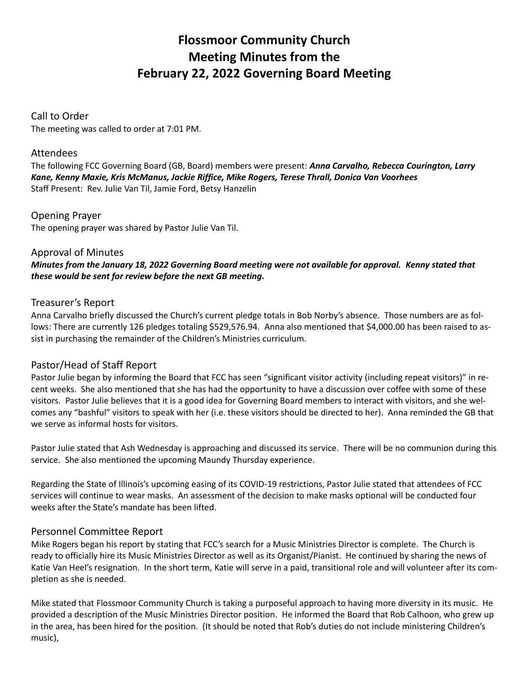# **Flossmoor Community Church Meeting Minutes from the February 22, 2022 Governing Board Meeting**

# Call to Order

The meeting was called to order at 7:01 PM.

### Attendees

The following FCC Governing Board (GB, Board) members were present: *Anna Carvalho, Rebecca Courington, Larry Kane, Kenny Maxie, Kris McManus, Jackie Riffice, Mike Rogers, Terese Thrall, Donica Van Voorhees* Staff Present: Rev. Julie Van Til, Jamie Ford, Betsy Hanzelin

Opening Prayer The opening prayer was shared by Pastor Julie Van Til.

#### Approval of Minutes

*Minutes from the January 18, 2022 Governing Board meeting were not available for approval. Kenny stated that these would be sent for review before the next GB meeting.*

#### Treasurer's Report

Anna Carvalho briefly discussed the Church's current pledge totals in Bob Norby's absence. Those numbers are as follows: There are currently 126 pledges totaling \$529,576.94. Anna also mentioned that \$4,000.00 has been raised to assist in purchasing the remainder of the Children's Ministries curriculum.

# Pastor/Head of Staff Report

Pastor Julie began by informing the Board that FCC has seen "significant visitor activity (including repeat visitors)" in recent weeks. She also mentioned that she has had the opportunity to have a discussion over coffee with some of these visitors. Pastor Julie believes that it is a good idea for Governing Board members to interact with visitors, and she welcomes any "bashful" visitors to speak with her (i.e. these visitors should be directed to her). Anna reminded the GB that we serve as informal hosts for visitors.

Pastor Julie stated that Ash Wednesday is approaching and discussed its service. There will be no communion during this service. She also mentioned the upcoming Maundy Thursday experience.

Regarding the State of Illinois's upcoming easing of its COVID-19 restrictions, Pastor Julie stated that attendees of FCC services will continue to wear masks. An assessment of the decision to make masks optional will be conducted four weeks after the State's mandate has been lifted.

# Personnel Committee Report

Mike Rogers began his report by stating that FCC's search for a Music Ministries Director is complete. The Church is ready to officially hire its Music Ministries Director as well as its Organist/Pianist. He continued by sharing the news of Katie Van Heel's resignation. In the short term, Katie will serve in a paid, transitional role and will volunteer after its completion as she is needed.

Mike stated that Flossmoor Community Church is taking a purposeful approach to having more diversity in its music. He provided a description of the Music Ministries Director position. He informed the Board that Rob Calhoon, who grew up in the area, has been hired for the position. (It should be noted that Rob's duties do not include ministering Children's music),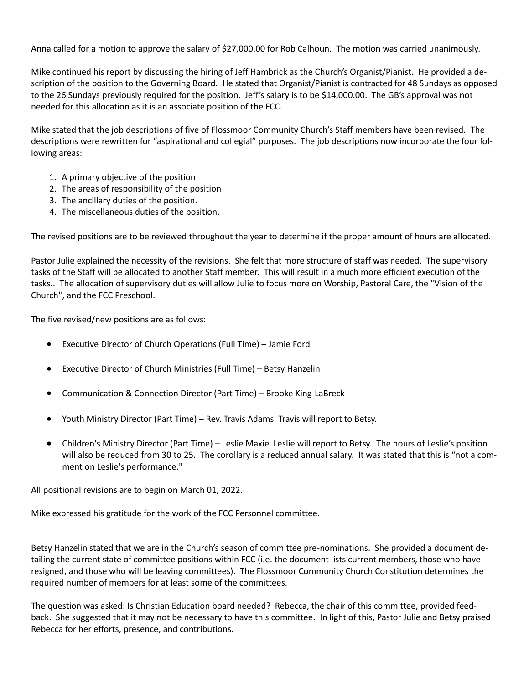Anna called for a motion to approve the salary of \$27,000.00 for Rob Calhoun. The motion was carried unanimously.

Mike continued his report by discussing the hiring of Jeff Hambrick as the Church's Organist/Pianist. He provided a description of the position to the Governing Board. He stated that Organist/Pianist is contracted for 48 Sundays as opposed to the 26 Sundays previously required for the position. Jeff's salary is to be \$14,000.00. The GB's approval was not needed for this allocation as it is an associate position of the FCC.

Mike stated that the job descriptions of five of Flossmoor Community Church's Staff members have been revised. The descriptions were rewritten for "aspirational and collegial" purposes. The job descriptions now incorporate the four following areas:

- 1. A primary objective of the position
- 2. The areas of responsibility of the position
- 3. The ancillary duties of the position.
- 4. The miscellaneous duties of the position.

The revised positions are to be reviewed throughout the year to determine if the proper amount of hours are allocated.

Pastor Julie explained the necessity of the revisions. She felt that more structure of staff was needed. The supervisory tasks of the Staff will be allocated to another Staff member. This will result in a much more efficient execution of the tasks.. The allocation of supervisory duties will allow Julie to focus more on Worship, Pastoral Care, the "Vision of the Church", and the FCC Preschool.

The five revised/new positions are as follows:

- Executive Director of Church Operations (Full Time) Jamie Ford
- Executive Director of Church Ministries (Full Time) Betsy Hanzelin
- Communication & Connection Director (Part Time) Brooke King-LaBreck
- Youth Ministry Director (Part Time) Rev. Travis Adams Travis will report to Betsy.

\_\_\_\_\_\_\_\_\_\_\_\_\_\_\_\_\_\_\_\_\_\_\_\_\_\_\_\_\_\_\_\_\_\_\_\_\_\_\_\_\_\_\_\_\_\_\_\_\_\_\_\_\_\_\_\_\_\_\_\_\_\_\_\_\_\_\_\_\_\_\_\_\_\_\_\_\_\_\_\_\_

• Children's Ministry Director (Part Time) – Leslie Maxie Leslie will report to Betsy. The hours of Leslie's position will also be reduced from 30 to 25. The corollary is a reduced annual salary. It was stated that this is "not a comment on Leslie's performance."

All positional revisions are to begin on March 01, 2022.

Mike expressed his gratitude for the work of the FCC Personnel committee.

Betsy Hanzelin stated that we are in the Church's season of committee pre-nominations. She provided a document detailing the current state of committee positions within FCC (i.e. the document lists current members, those who have resigned, and those who will be leaving committees). The Flossmoor Community Church Constitution determines the required number of members for at least some of the committees.

The question was asked: Is Christian Education board needed? Rebecca, the chair of this committee, provided feedback. She suggested that it may not be necessary to have this committee. In light of this, Pastor Julie and Betsy praised Rebecca for her efforts, presence, and contributions.